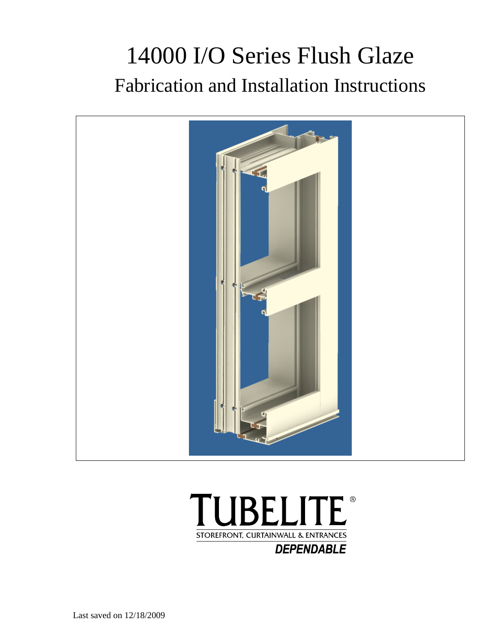# 14000 I/O Series Flush Glaze Fabrication and Installation Instructions





Last saved on 12/18/2009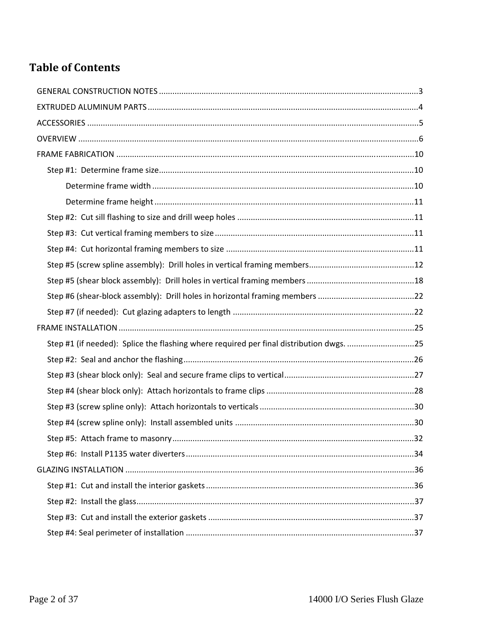# **Table of Contents**

| Step #1 (if needed): Splice the flashing where required per final distribution dwgs. 25 |  |
|-----------------------------------------------------------------------------------------|--|
|                                                                                         |  |
|                                                                                         |  |
|                                                                                         |  |
|                                                                                         |  |
|                                                                                         |  |
|                                                                                         |  |
|                                                                                         |  |
|                                                                                         |  |
|                                                                                         |  |
|                                                                                         |  |
|                                                                                         |  |
|                                                                                         |  |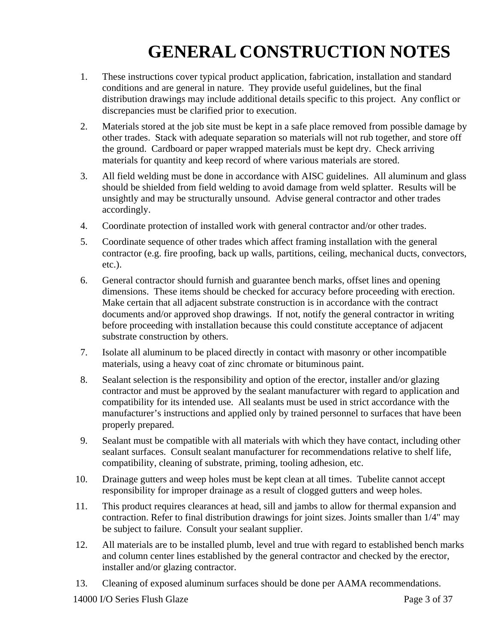# **GENERAL CONSTRUCTION NOTES**

- 1. These instructions cover typical product application, fabrication, installation and standard conditions and are general in nature. They provide useful guidelines, but the final distribution drawings may include additional details specific to this project. Any conflict or discrepancies must be clarified prior to execution.
- 2. Materials stored at the job site must be kept in a safe place removed from possible damage by other trades. Stack with adequate separation so materials will not rub together, and store off the ground. Cardboard or paper wrapped materials must be kept dry. Check arriving materials for quantity and keep record of where various materials are stored.
- 3. All field welding must be done in accordance with AISC guidelines. All aluminum and glass should be shielded from field welding to avoid damage from weld splatter. Results will be unsightly and may be structurally unsound. Advise general contractor and other trades accordingly.
- 4. Coordinate protection of installed work with general contractor and/or other trades.
- 5. Coordinate sequence of other trades which affect framing installation with the general contractor (e.g. fire proofing, back up walls, partitions, ceiling, mechanical ducts, convectors, etc.).
- 6. General contractor should furnish and guarantee bench marks, offset lines and opening dimensions. These items should be checked for accuracy before proceeding with erection. Make certain that all adjacent substrate construction is in accordance with the contract documents and/or approved shop drawings. If not, notify the general contractor in writing before proceeding with installation because this could constitute acceptance of adjacent substrate construction by others.
- 7. Isolate all aluminum to be placed directly in contact with masonry or other incompatible materials, using a heavy coat of zinc chromate or bituminous paint.
- 8. Sealant selection is the responsibility and option of the erector, installer and/or glazing contractor and must be approved by the sealant manufacturer with regard to application and compatibility for its intended use. All sealants must be used in strict accordance with the manufacturer's instructions and applied only by trained personnel to surfaces that have been properly prepared.
- 9. Sealant must be compatible with all materials with which they have contact, including other sealant surfaces. Consult sealant manufacturer for recommendations relative to shelf life, compatibility, cleaning of substrate, priming, tooling adhesion, etc.
- 10. Drainage gutters and weep holes must be kept clean at all times. Tubelite cannot accept responsibility for improper drainage as a result of clogged gutters and weep holes.
- 11. This product requires clearances at head, sill and jambs to allow for thermal expansion and contraction. Refer to final distribution drawings for joint sizes. Joints smaller than 1/4" may be subject to failure. Consult your sealant supplier.
- 12. All materials are to be installed plumb, level and true with regard to established bench marks and column center lines established by the general contractor and checked by the erector, installer and/or glazing contractor.
- 13. Cleaning of exposed aluminum surfaces should be done per AAMA recommendations.

14000 I/O Series Flush Glaze Page 3 of 37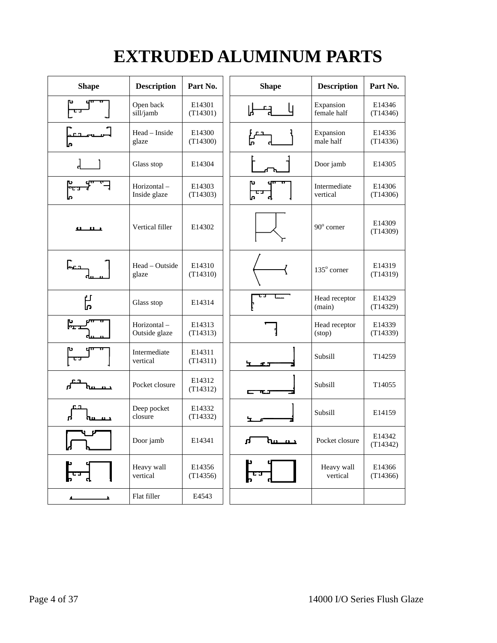# **EXTRUDED ALUMINUM PARTS**

| <b>Shape</b>                    | <b>Description</b>           | Part No.           | <b>Shape</b>          | <b>Description</b>       | Part No.           |
|---------------------------------|------------------------------|--------------------|-----------------------|--------------------------|--------------------|
|                                 | Open back<br>sill/jamb       | E14301<br>(T14301) |                       | Expansion<br>female half | E14346<br>(T14346) |
|                                 | Head - Inside<br>glaze       | E14300<br>(T14300) |                       | Expansion<br>male half   | E14336<br>(T14336) |
|                                 | Glass stop                   | E14304             |                       | Door jamb                | E14305             |
| $\frac{1}{2}$                   | Horizontal-<br>Inside glaze  | E14303<br>(T14303) |                       | Intermediate<br>vertical | E14306<br>(T14306) |
| <u> எடாட்</u>                   | Vertical filler              | E14302             |                       | 90° corner               | E14309<br>(T14309) |
| لصحار                           | Head - Outside<br>glaze      | E14310<br>(T14310) |                       | 135° corner              | E14319<br>(T14319) |
| Ц<br>П                          | Glass stop                   | E14314             |                       | Head receptor<br>(main)  | E14329<br>(T14329) |
| ᠾ                               | Horizontal-<br>Outside glaze | E14313<br>(T14313) |                       | Head receptor<br>(stop)  | E14339<br>(T14339) |
|                                 | Intermediate<br>vertical     | E14311<br>(T14311) |                       | Subsill                  | T14259             |
|                                 | Pocket closure               | E14312<br>(T14312) | 3. C. S               | Subsill                  | T14055             |
|                                 | Deep pocket<br>closure       | E14332<br>(T14332) | 노                     | Subsill                  | E14159             |
| IJ                              | Door jamb                    | E14341             | u,<br><u>, martin</u> | Pocket closure           | E14342<br>(T14342) |
| $\mathfrak{f}$ , $\mathfrak{f}$ | Heavy wall<br>vertical       | E14356<br>(T14356) |                       | Heavy wall<br>vertical   | E14366<br>(T14366) |
|                                 | Flat filler                  | E4543              |                       |                          |                    |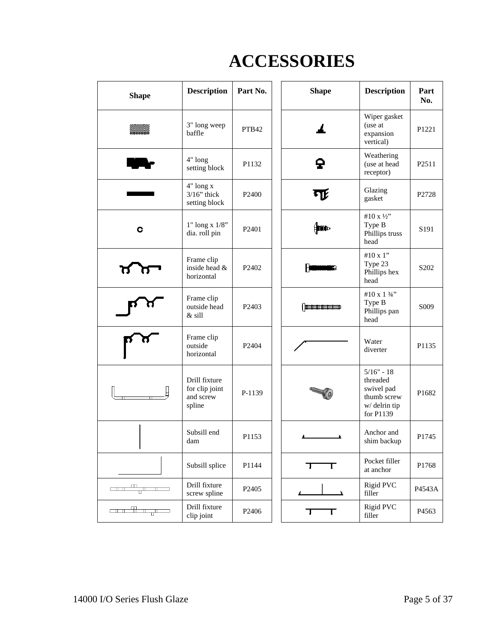# **ACCESSORIES**

| <b>Shape</b>                                                                                                                                                                                                                                                                                                                                        | <b>Description</b>                                     | Part No.          |  | <b>Shape</b>                                                                                                                                                                                                                                                                                                                                                                                                                                                                    | <b>Description</b>                                                                 | Part<br>No.                   |
|-----------------------------------------------------------------------------------------------------------------------------------------------------------------------------------------------------------------------------------------------------------------------------------------------------------------------------------------------------|--------------------------------------------------------|-------------------|--|---------------------------------------------------------------------------------------------------------------------------------------------------------------------------------------------------------------------------------------------------------------------------------------------------------------------------------------------------------------------------------------------------------------------------------------------------------------------------------|------------------------------------------------------------------------------------|-------------------------------|
|                                                                                                                                                                                                                                                                                                                                                     | 3" long weep<br>baffle                                 | PTB42             |  |                                                                                                                                                                                                                                                                                                                                                                                                                                                                                 | Wiper gasket<br>(use at<br>expansion<br>vertical)                                  | P <sub>1221</sub>             |
|                                                                                                                                                                                                                                                                                                                                                     | 4" long<br>setting block                               | P1132             |  | ç                                                                                                                                                                                                                                                                                                                                                                                                                                                                               | Weathering<br>(use at head<br>receptor)                                            | P2511                         |
|                                                                                                                                                                                                                                                                                                                                                     | 4" long x<br>$3/16$ " thick<br>setting block           | P <sub>2400</sub> |  | 口                                                                                                                                                                                                                                                                                                                                                                                                                                                                               | Glazing<br>gasket                                                                  | P2728                         |
| C                                                                                                                                                                                                                                                                                                                                                   | $1"$ long x $1/8"$<br>dia. roll pin                    | P <sub>2401</sub> |  | ∰                                                                                                                                                                                                                                                                                                                                                                                                                                                                               | #10 x 1/2"<br>Type B<br>Phillips truss<br>head                                     | S <sub>191</sub>              |
|                                                                                                                                                                                                                                                                                                                                                     | Frame clip<br>inside head &<br>horizontal              | P <sub>2402</sub> |  |                                                                                                                                                                                                                                                                                                                                                                                                                                                                                 | #10 x 1"<br>Type 23<br>Phillips hex<br>head                                        | S <sub>2</sub> 0 <sub>2</sub> |
|                                                                                                                                                                                                                                                                                                                                                     | Frame clip<br>outside head<br>& sill                   | P2403             |  | <b>Example of Automobile Services</b>                                                                                                                                                                                                                                                                                                                                                                                                                                           | #10 x 1 3/4"<br>Type B<br>Phillips pan<br>head                                     | S <sub>009</sub>              |
|                                                                                                                                                                                                                                                                                                                                                     | Frame clip<br>outside<br>horizontal                    | P <sub>2404</sub> |  |                                                                                                                                                                                                                                                                                                                                                                                                                                                                                 | Water<br>diverter                                                                  | P1135                         |
|                                                                                                                                                                                                                                                                                                                                                     | Drill fixture<br>for clip joint<br>and screw<br>spline | P-1139            |  |                                                                                                                                                                                                                                                                                                                                                                                                                                                                                 | $5/16" - 18$<br>threaded<br>swivel pad<br>thumb screw<br>w/delrin tip<br>for P1139 | P1682                         |
|                                                                                                                                                                                                                                                                                                                                                     | Subsill end<br>dam                                     | P1153             |  |                                                                                                                                                                                                                                                                                                                                                                                                                                                                                 | Anchor and<br>shim backup                                                          | P1745                         |
|                                                                                                                                                                                                                                                                                                                                                     | Subsill splice                                         | P1144             |  |                                                                                                                                                                                                                                                                                                                                                                                                                                                                                 | Pocket filler<br>at anchor                                                         | P1768                         |
| $\begin{picture}(100,10) \put(0,0){\line(1,0){10}} \put(10,0){\line(1,0){10}} \put(10,0){\line(1,0){10}} \put(10,0){\line(1,0){10}} \put(10,0){\line(1,0){10}} \put(10,0){\line(1,0){10}} \put(10,0){\line(1,0){10}} \put(10,0){\line(1,0){10}} \put(10,0){\line(1,0){10}} \put(10,0){\line(1,0){10}} \put(10,0){\line(1,0){10}} \put(10,0){\line($ | Drill fixture<br>screw spline                          | P2405             |  |                                                                                                                                                                                                                                                                                                                                                                                                                                                                                 | Rigid PVC<br>filler                                                                | P4543A                        |
| and the state                                                                                                                                                                                                                                                                                                                                       | Drill fixture<br>clip joint                            | P2406             |  | $\overline{\phantom{a}}$ $\overline{\phantom{a}}$ $\overline{\phantom{a}}$ $\overline{\phantom{a}}$ $\overline{\phantom{a}}$ $\overline{\phantom{a}}$ $\overline{\phantom{a}}$ $\overline{\phantom{a}}$ $\overline{\phantom{a}}$ $\overline{\phantom{a}}$ $\overline{\phantom{a}}$ $\overline{\phantom{a}}$ $\overline{\phantom{a}}$ $\overline{\phantom{a}}$ $\overline{\phantom{a}}$ $\overline{\phantom{a}}$ $\overline{\phantom{a}}$ $\overline{\phantom{a}}$ $\overline{\$ | <b>Rigid PVC</b><br>filler                                                         | P4563                         |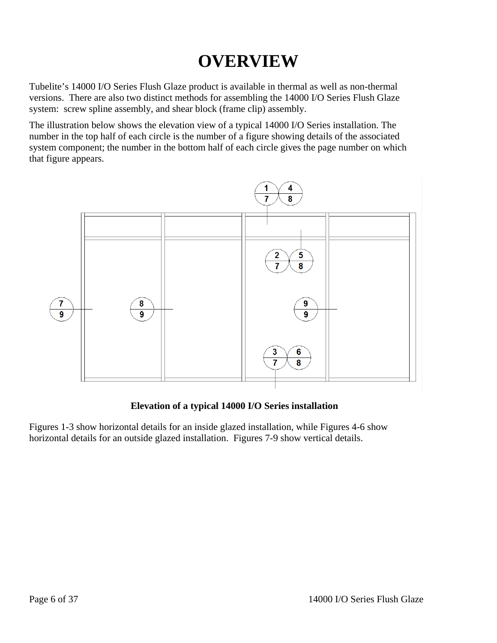# **OVERVIEW**

Tubelite's 14000 I/O Series Flush Glaze product is available in thermal as well as non-thermal versions. There are also two distinct methods for assembling the 14000 I/O Series Flush Glaze system: screw spline assembly, and shear block (frame clip) assembly.

The illustration below shows the elevation view of a typical 14000 I/O Series installation. The number in the top half of each circle is the number of a figure showing details of the associated system component; the number in the bottom half of each circle gives the page number on which that figure appears.



#### **Elevation of a typical 14000 I/O Series installation**

Figures 1-3 show horizontal details for an inside glazed installation, while Figures 4-6 show horizontal details for an outside glazed installation. Figures 7-9 show vertical details.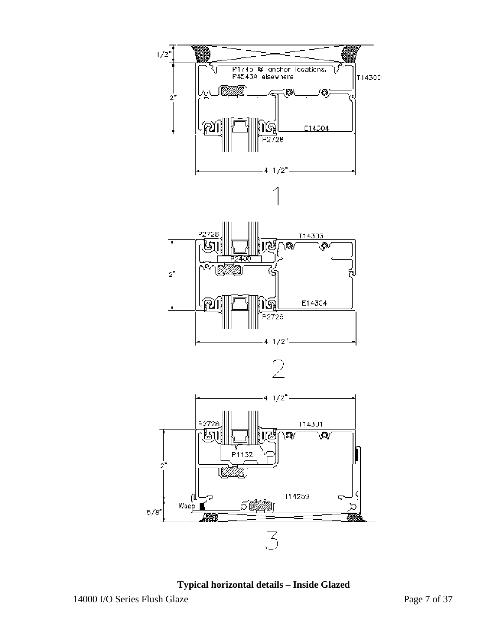

**Typical horizontal details – Inside Glazed**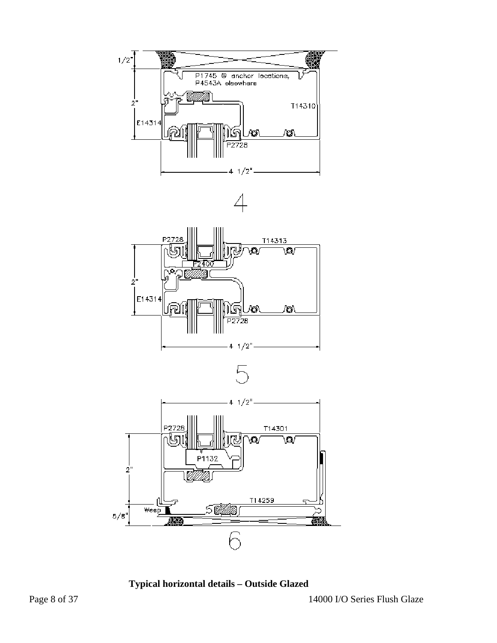

**Typical horizontal details – Outside Glazed**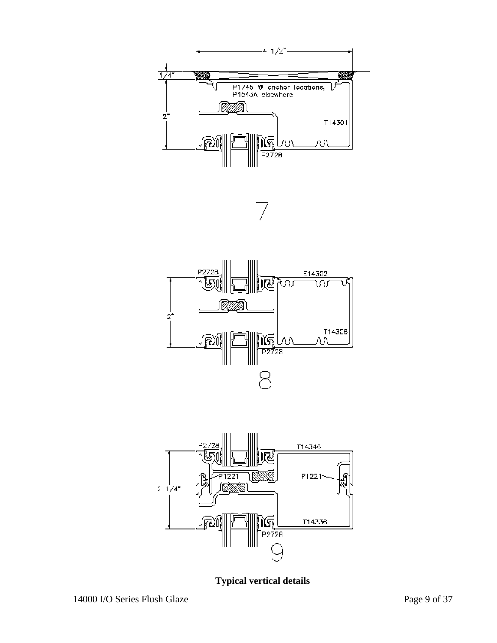







**Typical vertical details**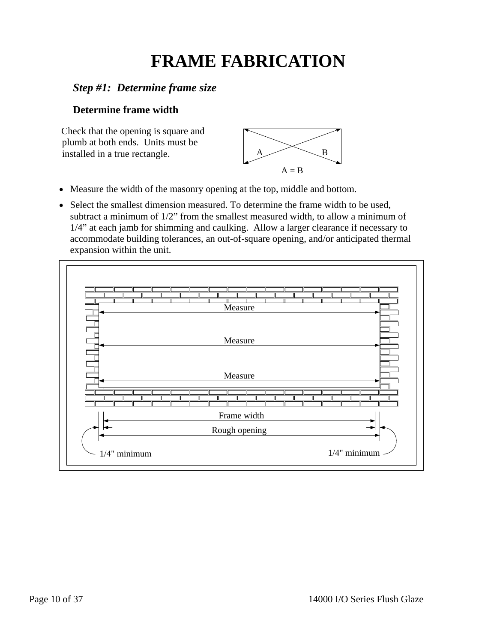# **FRAME FABRICATION**

# *Step #1: Determine frame size*

#### **Determine frame width**

Check that the opening is square and plumb at both ends. Units must be installed in a true rectangle.  $A \longrightarrow B$ 



- Measure the width of the masonry opening at the top, middle and bottom.
- Select the smallest dimension measured. To determine the frame width to be used, subtract a minimum of 1/2" from the smallest measured width, to allow a minimum of 1/4" at each jamb for shimming and caulking. Allow a larger clearance if necessary to accommodate building tolerances, an out-of-square opening, and/or anticipated thermal expansion within the unit.

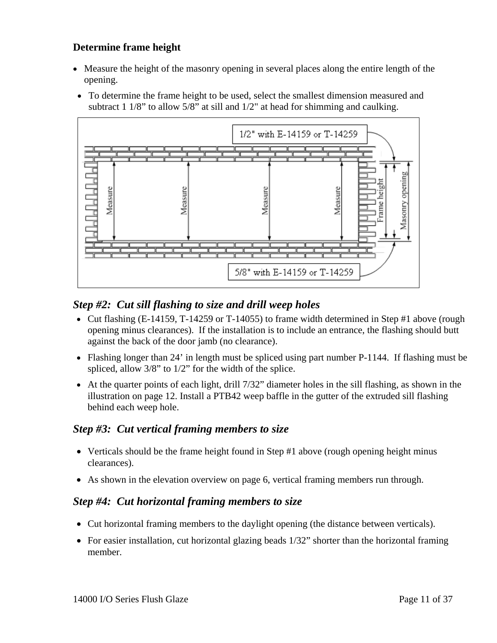#### **Determine frame height**

- Measure the height of the masonry opening in several places along the entire length of the opening.
- To determine the frame height to be used, select the smallest dimension measured and subtract 1 1/8" to allow 5/8" at sill and 1/2" at head for shimming and caulking.



### *Step #2: Cut sill flashing to size and drill weep holes*

- Cut flashing (E-14159, T-14259 or T-14055) to frame width determined in Step #1 above (rough opening minus clearances). If the installation is to include an entrance, the flashing should butt against the back of the door jamb (no clearance).
- Flashing longer than 24' in length must be spliced using part number P-1144. If flashing must be spliced, allow 3/8" to 1/2" for the width of the splice.
- At the quarter points of each light, drill 7/32" diameter holes in the sill flashing, as shown in the illustration on page 12. Install a PTB42 weep baffle in the gutter of the extruded sill flashing behind each weep hole.

#### *Step #3: Cut vertical framing members to size*

- Verticals should be the frame height found in Step #1 above (rough opening height minus clearances).
- As shown in the elevation overview on page 6, vertical framing members run through.

#### *Step #4: Cut horizontal framing members to size*

- Cut horizontal framing members to the daylight opening (the distance between verticals).
- For easier installation, cut horizontal glazing beads 1/32" shorter than the horizontal framing member.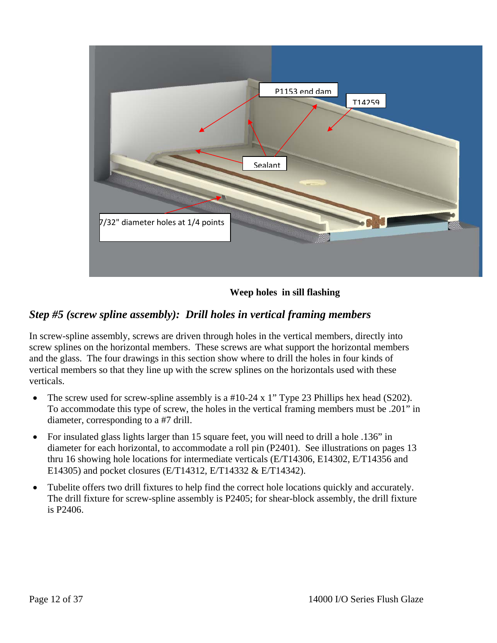

**Weep holes in sill flashing** 

# *Step #5 (screw spline assembly): Drill holes in vertical framing members*

In screw-spline assembly, screws are driven through holes in the vertical members, directly into screw splines on the horizontal members. These screws are what support the horizontal members and the glass. The four drawings in this section show where to drill the holes in four kinds of vertical members so that they line up with the screw splines on the horizontals used with these verticals.

- The screw used for screw-spline assembly is a #10-24 x 1" Type 23 Phillips hex head (S202). To accommodate this type of screw, the holes in the vertical framing members must be .201" in diameter, corresponding to a #7 drill.
- For insulated glass lights larger than 15 square feet, you will need to drill a hole .136" in diameter for each horizontal, to accommodate a roll pin (P2401). See illustrations on pages 13 thru 16 showing hole locations for intermediate verticals (E/T14306, E14302, E/T14356 and E14305) and pocket closures (E/T14312, E/T14332 & E/T14342).
- Tubelite offers two drill fixtures to help find the correct hole locations quickly and accurately. The drill fixture for screw-spline assembly is P2405; for shear-block assembly, the drill fixture is P2406.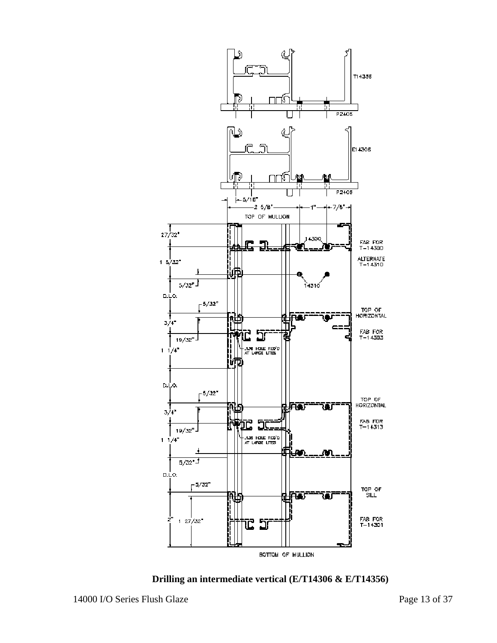

**Drilling an intermediate vertical (E/T14306 & E/T14356)**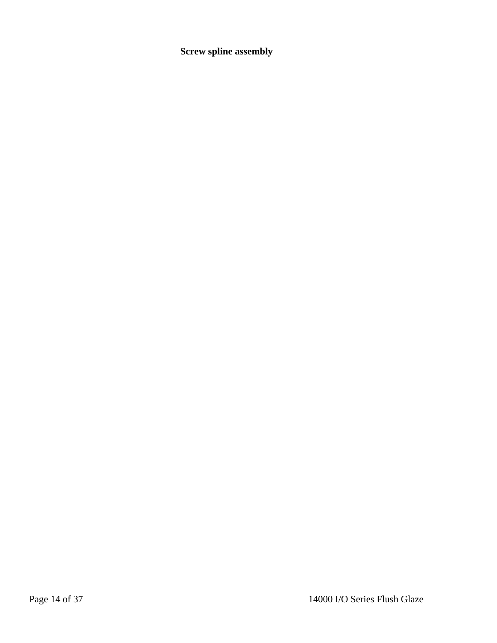**Screw spline assembly**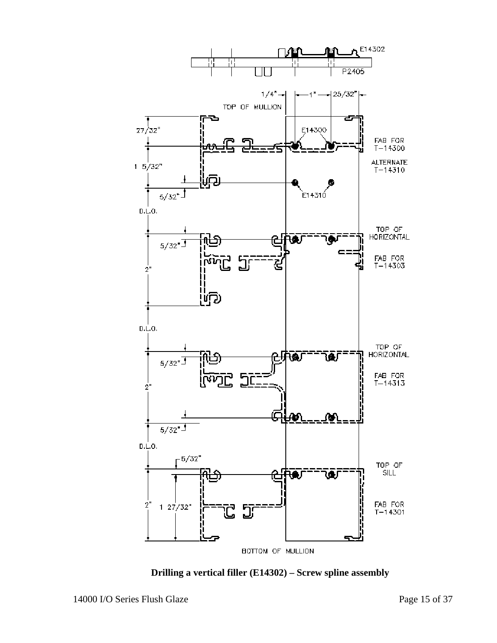

**Drilling a vertical filler (E14302) – Screw spline assembly**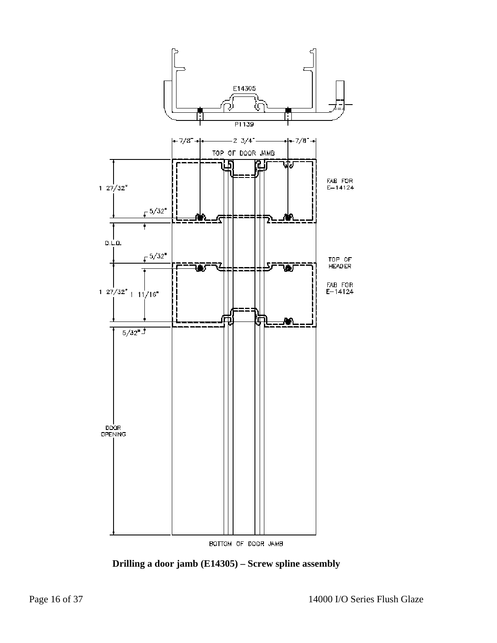

**Drilling a door jamb (E14305) – Screw spline assembly**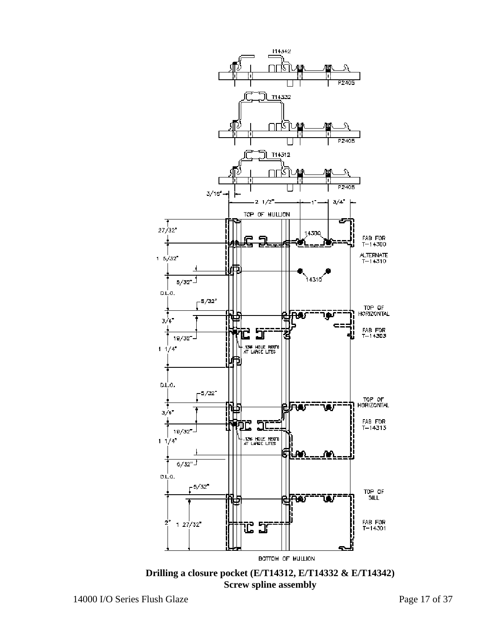

**Drilling a closure pocket (E/T14312, E/T14332 & E/T14342) Screw spline assembly**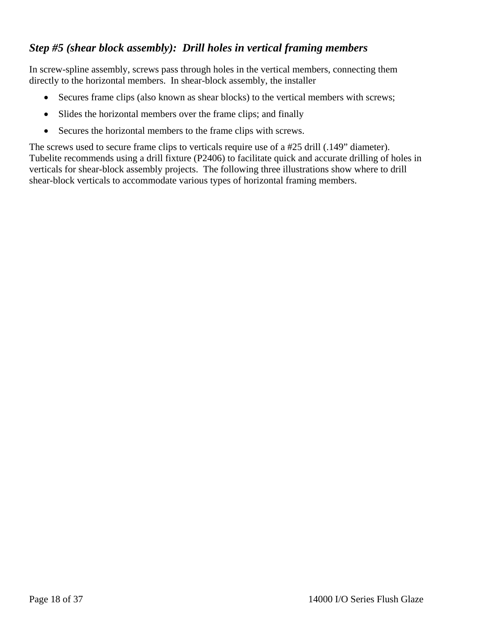# *Step #5 (shear block assembly): Drill holes in vertical framing members*

In screw-spline assembly, screws pass through holes in the vertical members, connecting them directly to the horizontal members. In shear-block assembly, the installer

- Secures frame clips (also known as shear blocks) to the vertical members with screws;
- Slides the horizontal members over the frame clips; and finally
- Secures the horizontal members to the frame clips with screws.

The screws used to secure frame clips to verticals require use of a #25 drill (.149" diameter). Tubelite recommends using a drill fixture (P2406) to facilitate quick and accurate drilling of holes in verticals for shear-block assembly projects. The following three illustrations show where to drill shear-block verticals to accommodate various types of horizontal framing members.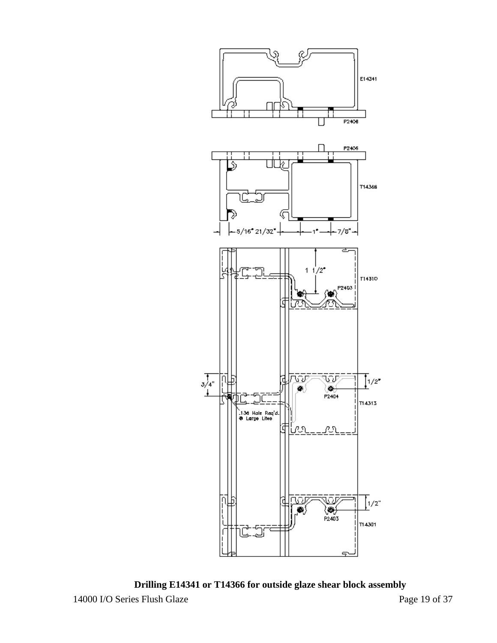

14000 I/O Series Flush Glaze Page 19 of 37 **Drilling E14341 or T14366 for outside glaze shear block assembly**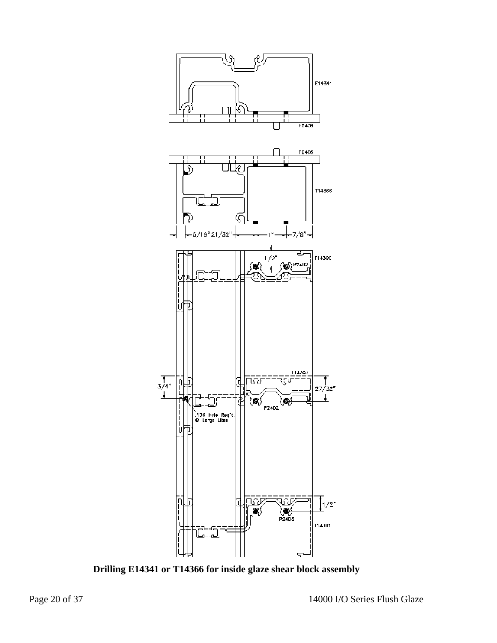

**Drilling E14341 or T14366 for inside glaze shear block assembly**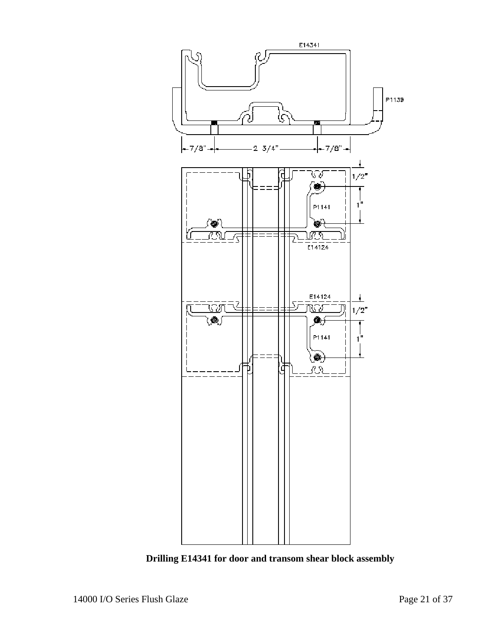

**Drilling E14341 for door and transom shear block assembly**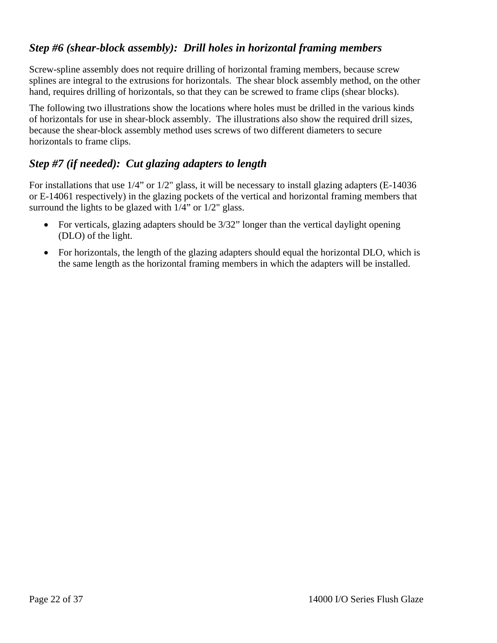### *Step #6 (shear-block assembly): Drill holes in horizontal framing members*

Screw-spline assembly does not require drilling of horizontal framing members, because screw splines are integral to the extrusions for horizontals. The shear block assembly method, on the other hand, requires drilling of horizontals, so that they can be screwed to frame clips (shear blocks).

The following two illustrations show the locations where holes must be drilled in the various kinds of horizontals for use in shear-block assembly. The illustrations also show the required drill sizes, because the shear-block assembly method uses screws of two different diameters to secure horizontals to frame clips.

# *Step #7 (if needed): Cut glazing adapters to length*

For installations that use 1/4" or 1/2" glass, it will be necessary to install glazing adapters (E-14036 or E-14061 respectively) in the glazing pockets of the vertical and horizontal framing members that surround the lights to be glazed with  $1/4$ " or  $1/2$ " glass.

- For verticals, glazing adapters should be  $3/32$ " longer than the vertical daylight opening (DLO) of the light.
- For horizontals, the length of the glazing adapters should equal the horizontal DLO, which is the same length as the horizontal framing members in which the adapters will be installed.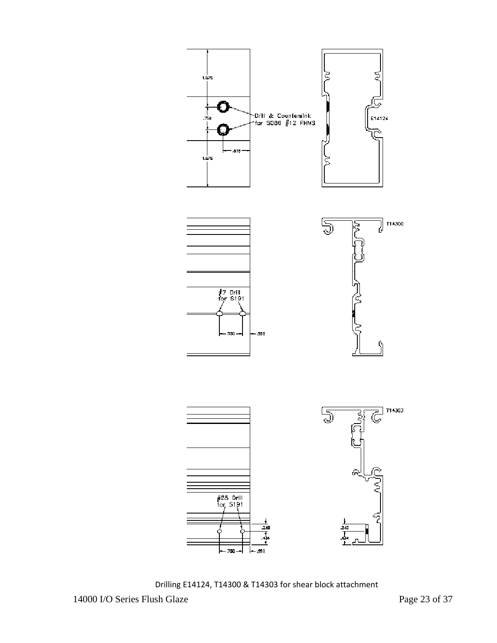

Drilling E14124, T14300 & T14303 for shear block attachment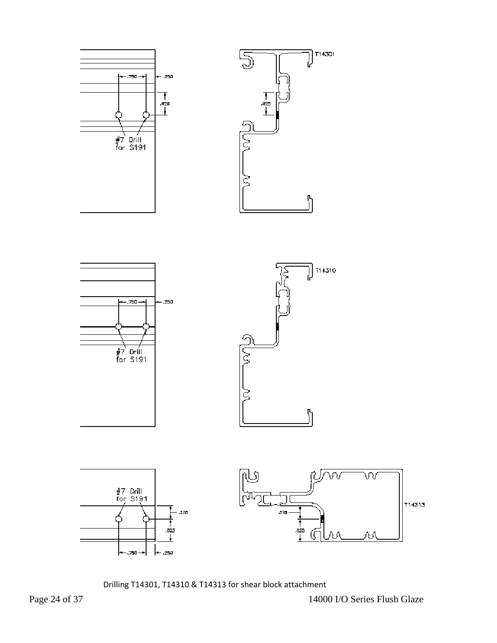

Drilling T14301, T14310 & T14313 for shear block attachment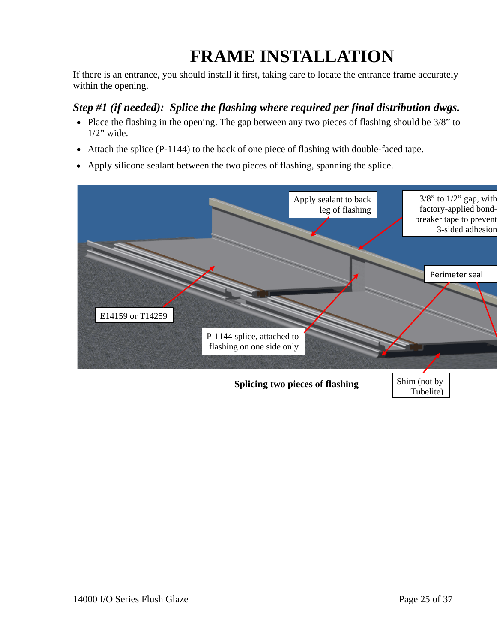# **FRAME INSTALLATION**

If there is an entrance, you should install it first, taking care to locate the entrance frame accurately within the opening.

# *Step #1 (if needed): Splice the flashing where required per final distribution dwgs.*

- Place the flashing in the opening. The gap between any two pieces of flashing should be 3/8" to  $1/2$ " wide.
- Attach the splice (P-1144) to the back of one piece of flashing with double-faced tape.
- Apply silicone sealant between the two pieces of flashing, spanning the splice.



# **Splicing two pieces of flashing** Shim (not by

Tubelite)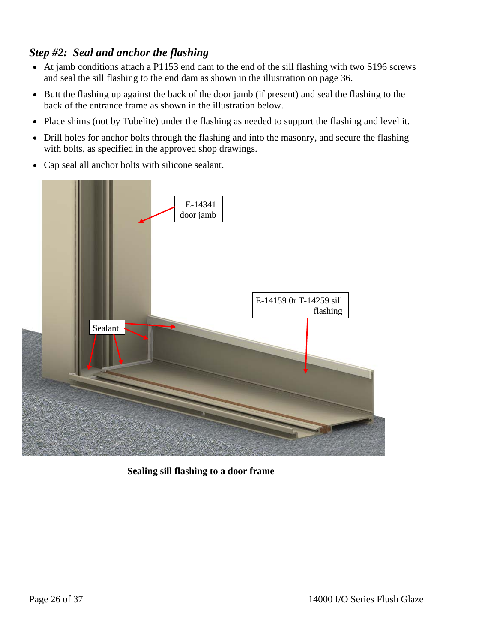# *Step #2: Seal and anchor the flashing*

- At jamb conditions attach a P1153 end dam to the end of the sill flashing with two S196 screws and seal the sill flashing to the end dam as shown in the illustration on page 36.
- Butt the flashing up against the back of the door jamb (if present) and seal the flashing to the back of the entrance frame as shown in the illustration below.
- Place shims (not by Tubelite) under the flashing as needed to support the flashing and level it.
- Drill holes for anchor bolts through the flashing and into the masonry, and secure the flashing with bolts, as specified in the approved shop drawings.
- Cap seal all anchor bolts with silicone sealant.



 **Sealing sill flashing to a door frame**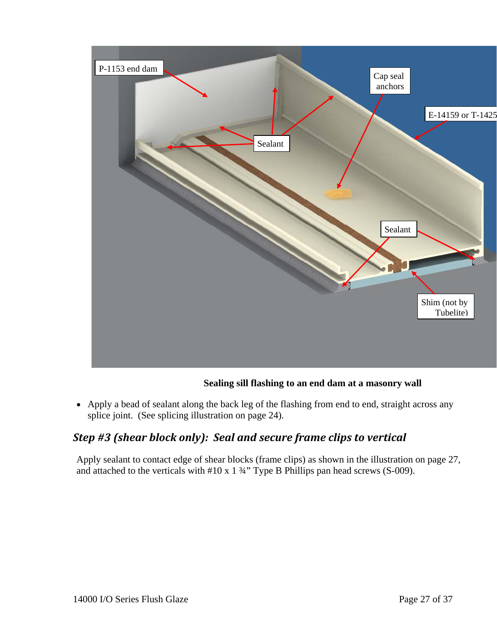

#### **Sealing sill flashing to an end dam at a masonry wall**

• Apply a bead of sealant along the back leg of the flashing from end to end, straight across any splice joint. (See splicing illustration on page 24).

# *Step #3 (shear block only): Seal and secure frame clips to vertical*

Apply sealant to contact edge of shear blocks (frame clips) as shown in the illustration on page 27, and attached to the verticals with  $#10 \times 1 \frac{3}{4}$ " Type B Phillips pan head screws (S-009).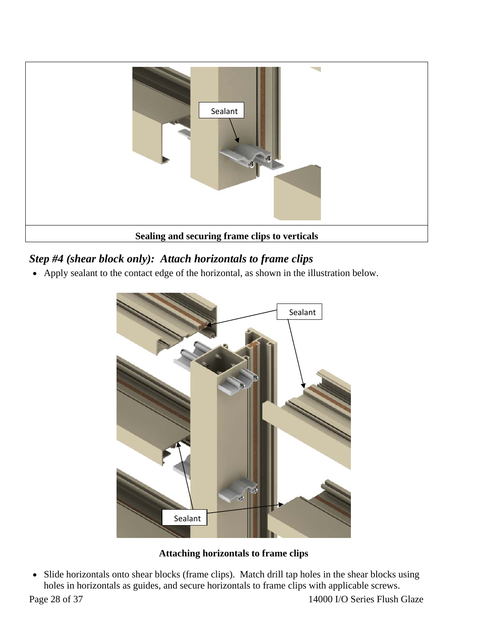

# *Step #4 (shear block only): Attach horizontals to frame clips*

• Apply sealant to the contact edge of the horizontal, as shown in the illustration below.



**Attaching horizontals to frame clips** 

• Slide horizontals onto shear blocks (frame clips). Match drill tap holes in the shear blocks using holes in horizontals as guides, and secure horizontals to frame clips with applicable screws.

Page 28 of 37 14000 I/O Series Flush Glaze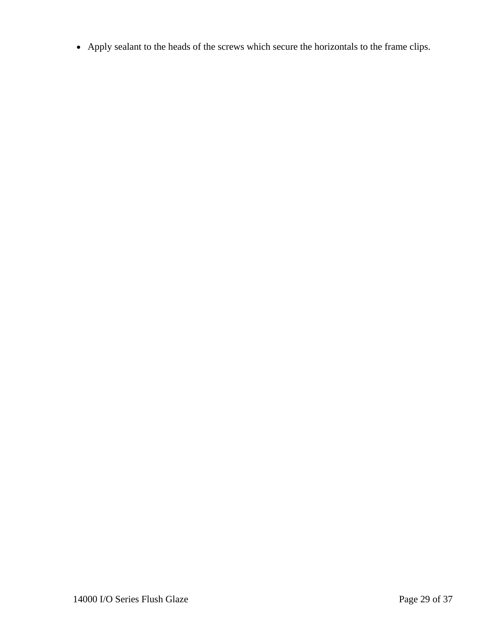• Apply sealant to the heads of the screws which secure the horizontals to the frame clips.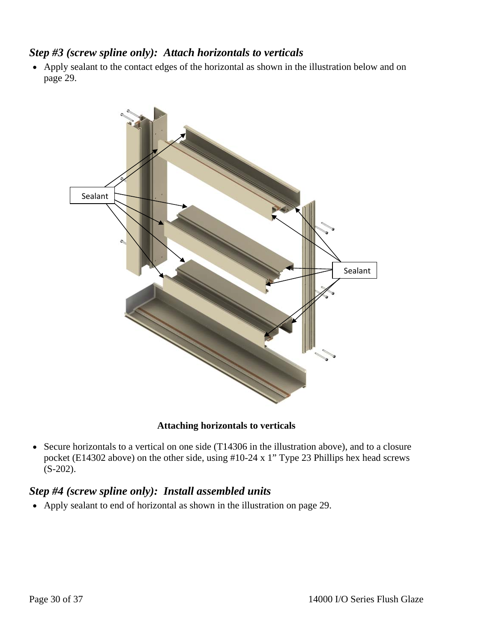### *Step #3 (screw spline only): Attach horizontals to verticals*

• Apply sealant to the contact edges of the horizontal as shown in the illustration below and on page 29.



#### **Attaching horizontals to verticals**

• Secure horizontals to a vertical on one side (T14306 in the illustration above), and to a closure pocket (E14302 above) on the other side, using #10-24 x 1" Type 23 Phillips hex head screws (S-202).

### *Step #4 (screw spline only): Install assembled units*

• Apply sealant to end of horizontal as shown in the illustration on page 29.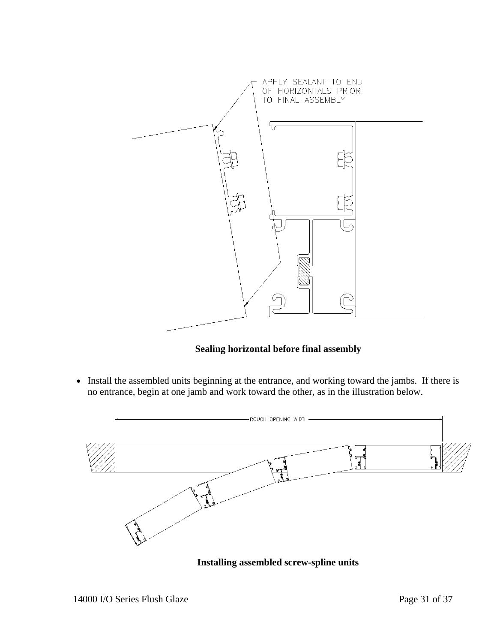

#### **Sealing horizontal before final assembly**

• Install the assembled units beginning at the entrance, and working toward the jambs. If there is no entrance, begin at one jamb and work toward the other, as in the illustration below.



**Installing assembled screw-spline units**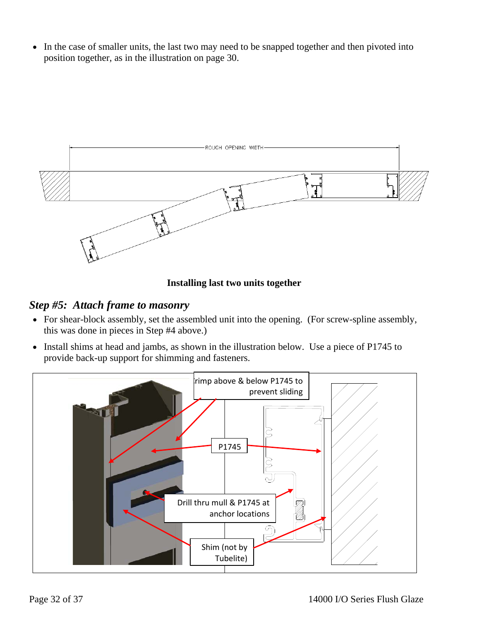• In the case of smaller units, the last two may need to be snapped together and then pivoted into position together, as in the illustration on page 30.



#### **Installing last two units together**

#### *Step #5: Attach frame to masonry*

- For shear-block assembly, set the assembled unit into the opening. (For screw-spline assembly, this was done in pieces in Step #4 above.)
- Install shims at head and jambs, as shown in the illustration below. Use a piece of P1745 to provide back-up support for shimming and fasteners.

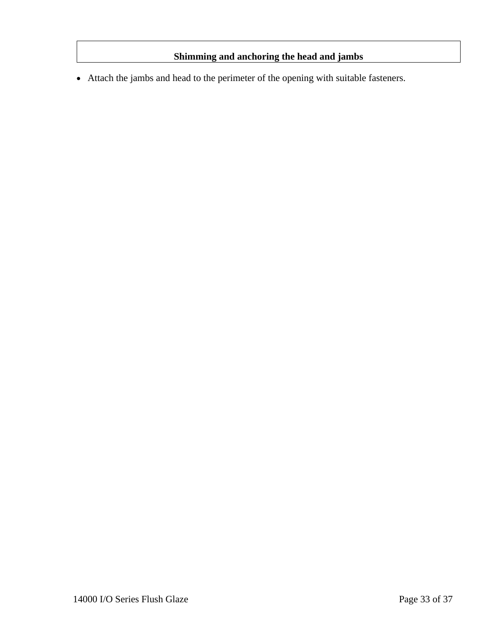#### **Shimming and anchoring the head and jambs**

• Attach the jambs and head to the perimeter of the opening with suitable fasteners.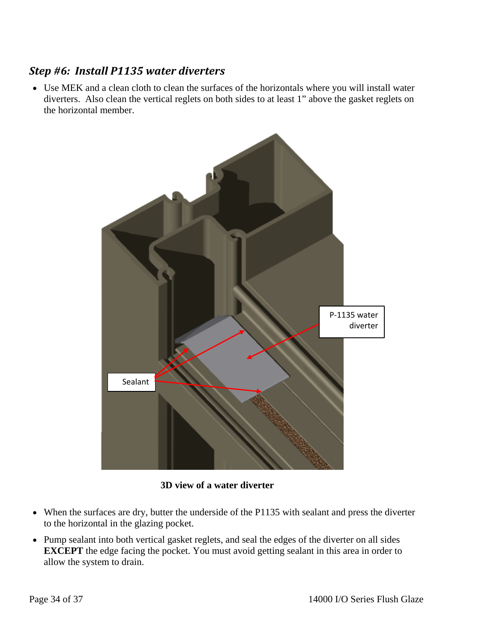# *Step #6: Install P1135 water diverters*

• Use MEK and a clean cloth to clean the surfaces of the horizontals where you will install water diverters. Also clean the vertical reglets on both sides to at least 1" above the gasket reglets on the horizontal member.



**3D view of a water diverter** 

- When the surfaces are dry, butter the underside of the P1135 with sealant and press the diverter to the horizontal in the glazing pocket.
- Pump sealant into both vertical gasket reglets, and seal the edges of the diverter on all sides **EXCEPT** the edge facing the pocket. You must avoid getting sealant in this area in order to allow the system to drain.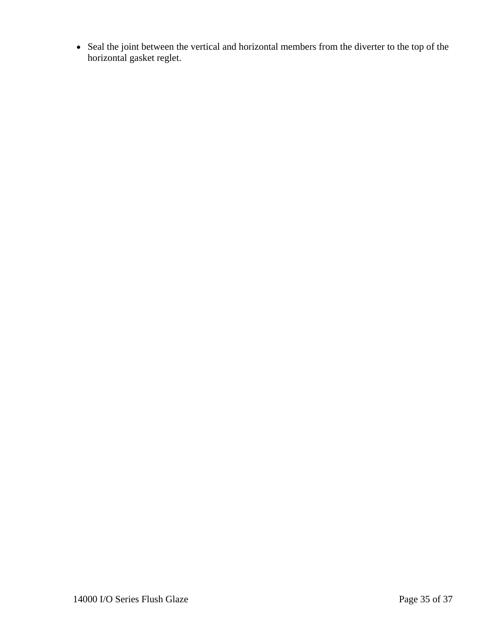• Seal the joint between the vertical and horizontal members from the diverter to the top of the horizontal gasket reglet.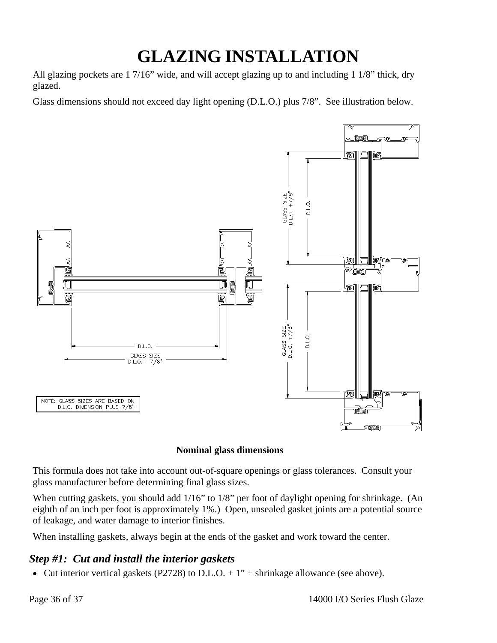# **GLAZING INSTALLATION**

All glazing pockets are 1 7/16" wide, and will accept glazing up to and including 1 1/8" thick, dry glazed.

Glass dimensions should not exceed day light opening (D.L.O.) plus 7/8". See illustration below.



#### **Nominal glass dimensions**

This formula does not take into account out-of-square openings or glass tolerances. Consult your glass manufacturer before determining final glass sizes.

When cutting gaskets, you should add  $1/16$ " to  $1/8$ " per foot of daylight opening for shrinkage. (An eighth of an inch per foot is approximately 1%.) Open, unsealed gasket joints are a potential source of leakage, and water damage to interior finishes.

When installing gaskets, always begin at the ends of the gasket and work toward the center.

# *Step #1: Cut and install the interior gaskets*

• Cut interior vertical gaskets (P2728) to D.L.O.  $+1$ " + shrinkage allowance (see above).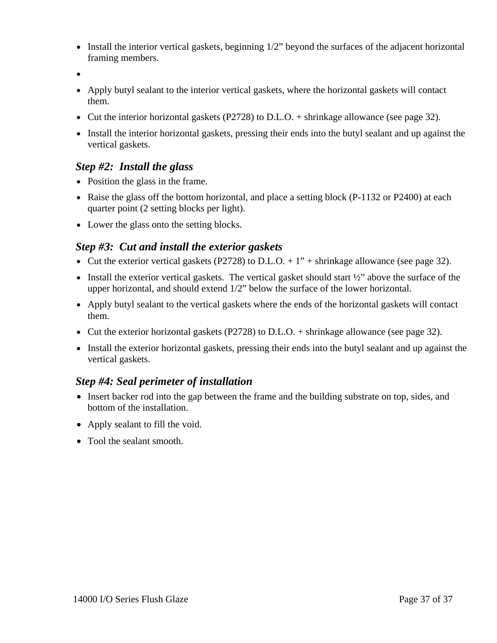- Install the interior vertical gaskets, beginning 1/2" beyond the surfaces of the adjacent horizontal framing members.
- •
- Apply butyl sealant to the interior vertical gaskets, where the horizontal gaskets will contact them.
- Cut the interior horizontal gaskets (P2728) to D.L.O. + shrinkage allowance (see page 32).
- Install the interior horizontal gaskets, pressing their ends into the butyl sealant and up against the vertical gaskets.

#### *Step #2: Install the glass*

- Position the glass in the frame.
- Raise the glass off the bottom horizontal, and place a setting block (P-1132 or P2400) at each quarter point (2 setting blocks per light).
- Lower the glass onto the setting blocks.

#### *Step #3: Cut and install the exterior gaskets*

- Cut the exterior vertical gaskets (P2728) to D.L.O.  $+1$ " + shrinkage allowance (see page 32).
- Install the exterior vertical gaskets. The vertical gasket should start  $\frac{1}{2}$  above the surface of the upper horizontal, and should extend 1/2" below the surface of the lower horizontal.
- Apply butyl sealant to the vertical gaskets where the ends of the horizontal gaskets will contact them.
- Cut the exterior horizontal gaskets (P2728) to D.L.O. + shrinkage allowance (see page 32).
- Install the exterior horizontal gaskets, pressing their ends into the butyl sealant and up against the vertical gaskets.

#### *Step #4: Seal perimeter of installation*

- Insert backer rod into the gap between the frame and the building substrate on top, sides, and bottom of the installation.
- Apply sealant to fill the void.
- Tool the sealant smooth.